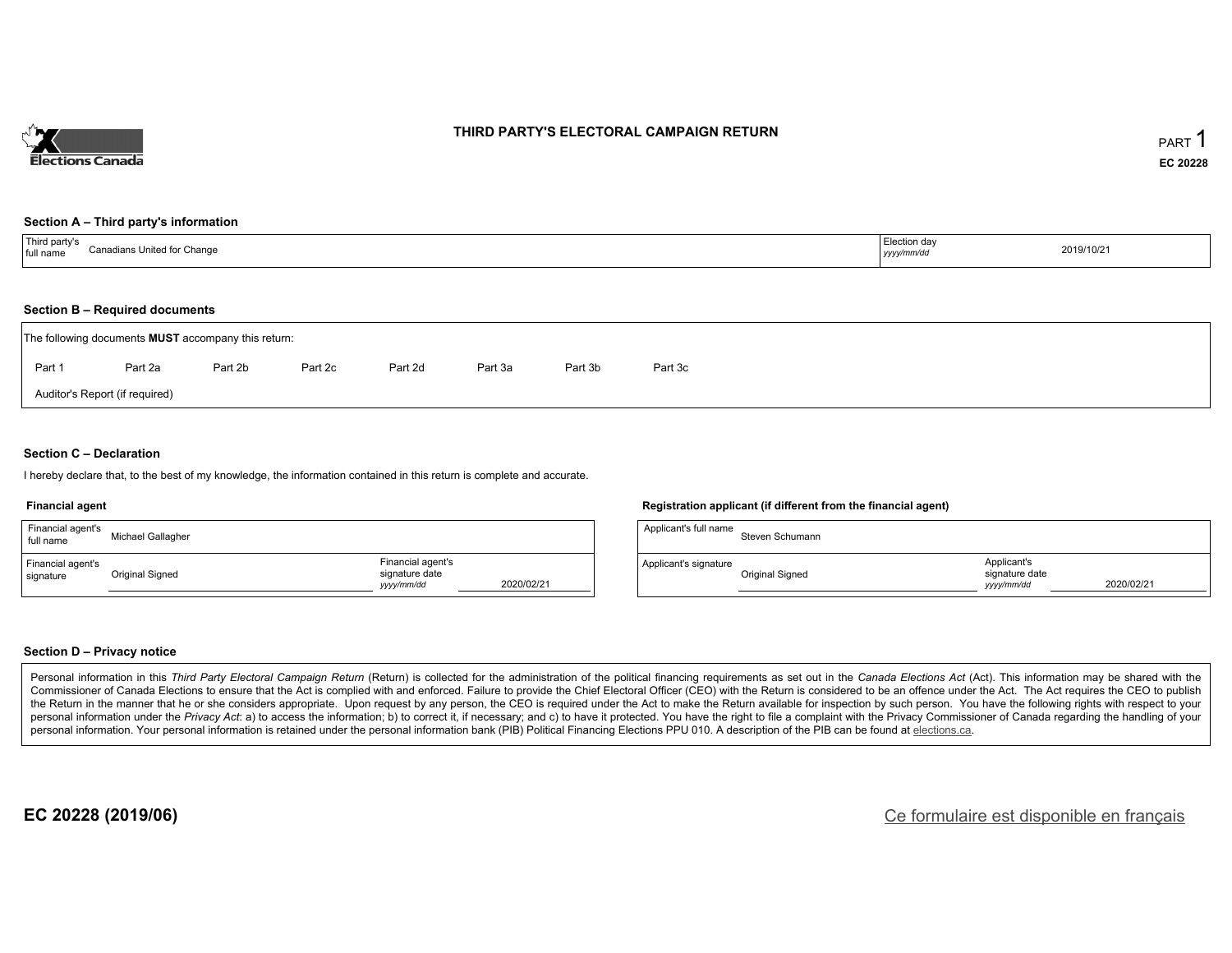

#### **THIRD PARTY'S ELECTORAL CAMPAIGN RETURN**

#### **Section A – Third party's information**

#### **Section B – Required documents**

| The following documents <b>MUST</b> accompany this return: |         |         |         |         |         |         |         |  |  |
|------------------------------------------------------------|---------|---------|---------|---------|---------|---------|---------|--|--|
| Part 1                                                     | Part 2a | Part 2b | Part 2c | Part 2d | Part 3a | Part 3b | Part 3c |  |  |
| Auditor's Report (if required)                             |         |         |         |         |         |         |         |  |  |

#### **Section C – Declaration**

I hereby declare that, to the best of my knowledge, the information contained in this return is complete and accurate.

#### **Financial agent**

| Financial agent's<br>full name | Michael Gallagher |                                                   |            |
|--------------------------------|-------------------|---------------------------------------------------|------------|
| Financial agent's<br>signature | Original Signed   | Financial agent's<br>signature date<br>yyyy/mm/dd | 2020/02/21 |

#### **Registration applicant (if different from the financial agent)**

| Applicant's full name | Steven Schumann |                                             |            |
|-----------------------|-----------------|---------------------------------------------|------------|
| Applicant's signature | Original Signed | Applicant's<br>signature date<br>vyyy/mm/dd | 2020/02/21 |

#### **Section D – Privacy notice**

Personal information in this Third Party Electoral Campaign Return (Return) is collected for the administration of the political financing requirements as set out in the Canada Elections Act (Act). This information may be Commissioner of Canada Elections to ensure that the Act is complied with and enforced. Failure to provide the Chief Electoral Officer (CEO) with the Return is considered to be an offence under the Act. The Act requires the the Return in the manner that he or she considers appropriate. Upon request by any person, the CEO is required under the Act to make the Return available for inspection by such person. You have the following rights with re personal information under the Privacy Act: a) to access the information; b) to correct it, if necessary; and c) to have it protected. You have the right to file a complaint with the Privacy Commissioner of Canada regardin personal information. Your personal information is retained under the personal information bank (PIB) Political Financing Elections PPU 010. A description of the PIB can be found at elections.ca.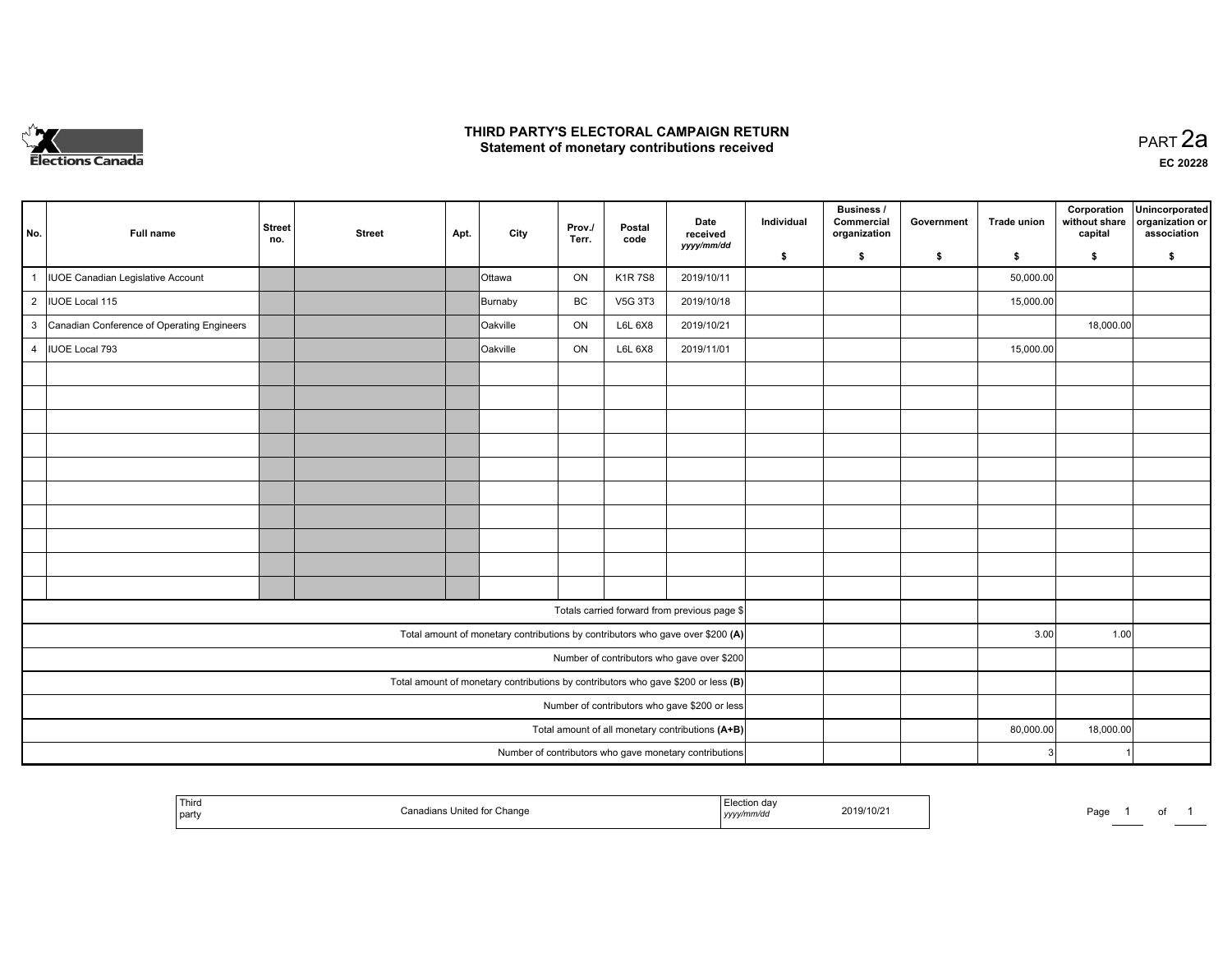

#### **THIRD PARTY'S ELECTORAL CAMPAIGN RETURN HIRD PARTY'S ELECTORAL CAMPAIGN RETURN<br>Statement of monetary contributions received PART 2a PART 2a**

| No.            | Full name                                    | <b>Street</b><br>no. | <b>Street</b> | Apt. | City                                                                              | Prov./<br>Terr. | Postal<br>code | Date<br>received<br>yyyy/mm/dd                         | Individual | <b>Business /</b><br>Commercial<br>organization | Government | <b>Trade union</b> | Corporation<br>without share<br>capital | Unincorporated<br>organization or<br>association |
|----------------|----------------------------------------------|----------------------|---------------|------|-----------------------------------------------------------------------------------|-----------------|----------------|--------------------------------------------------------|------------|-------------------------------------------------|------------|--------------------|-----------------------------------------|--------------------------------------------------|
|                |                                              |                      |               |      |                                                                                   |                 |                |                                                        | \$         | s.                                              | \$         | s.                 | \$                                      | S.                                               |
| 1              | IUOE Canadian Legislative Account            |                      |               |      | <b>Ottawa</b>                                                                     | ON              | <b>K1R7S8</b>  | 2019/10/11                                             |            |                                                 |            | 50,000.00          |                                         |                                                  |
|                | 2  IUOE Local 115                            |                      |               |      | Burnaby                                                                           | BC              | V5G 3T3        | 2019/10/18                                             |            |                                                 |            | 15,000.00          |                                         |                                                  |
|                | 3 Canadian Conference of Operating Engineers |                      |               |      | Oakville                                                                          | ON              | L6L 6X8        | 2019/10/21                                             |            |                                                 |            |                    | 18,000.00                               |                                                  |
| $\overline{4}$ | IUOE Local 793                               |                      |               |      | Oakville                                                                          | ON              | L6L 6X8        | 2019/11/01                                             |            |                                                 |            | 15,000.00          |                                         |                                                  |
|                |                                              |                      |               |      |                                                                                   |                 |                |                                                        |            |                                                 |            |                    |                                         |                                                  |
|                |                                              |                      |               |      |                                                                                   |                 |                |                                                        |            |                                                 |            |                    |                                         |                                                  |
|                |                                              |                      |               |      |                                                                                   |                 |                |                                                        |            |                                                 |            |                    |                                         |                                                  |
|                |                                              |                      |               |      |                                                                                   |                 |                |                                                        |            |                                                 |            |                    |                                         |                                                  |
|                |                                              |                      |               |      |                                                                                   |                 |                |                                                        |            |                                                 |            |                    |                                         |                                                  |
|                |                                              |                      |               |      |                                                                                   |                 |                |                                                        |            |                                                 |            |                    |                                         |                                                  |
|                |                                              |                      |               |      |                                                                                   |                 |                |                                                        |            |                                                 |            |                    |                                         |                                                  |
|                |                                              |                      |               |      |                                                                                   |                 |                |                                                        |            |                                                 |            |                    |                                         |                                                  |
|                |                                              |                      |               |      |                                                                                   |                 |                |                                                        |            |                                                 |            |                    |                                         |                                                  |
|                |                                              |                      |               |      |                                                                                   |                 |                |                                                        |            |                                                 |            |                    |                                         |                                                  |
|                |                                              |                      |               |      |                                                                                   |                 |                | Totals carried forward from previous page \$           |            |                                                 |            |                    |                                         |                                                  |
|                |                                              |                      |               |      | Total amount of monetary contributions by contributors who gave over \$200 (A)    |                 |                |                                                        |            |                                                 |            | 3.00               | 1.00                                    |                                                  |
|                |                                              |                      |               |      |                                                                                   |                 |                | Number of contributors who gave over \$200             |            |                                                 |            |                    |                                         |                                                  |
|                |                                              |                      |               |      | Total amount of monetary contributions by contributors who gave \$200 or less (B) |                 |                |                                                        |            |                                                 |            |                    |                                         |                                                  |
|                |                                              |                      |               |      |                                                                                   |                 |                | Number of contributors who gave \$200 or less          |            |                                                 |            |                    |                                         |                                                  |
|                |                                              |                      |               |      |                                                                                   |                 |                | Total amount of all monetary contributions (A+B)       |            |                                                 |            | 80,000.00          | 18,000.00                               |                                                  |
|                |                                              |                      |               |      |                                                                                   |                 |                | Number of contributors who gave monetary contributions |            |                                                 |            |                    |                                         |                                                  |

| <sup>l</sup> Third<br>United for<br>∵Chang<br>`anadi:<br>party | ' day<br>2019/10/2<br>.<br>nm/du<br>,,,, | Page | $\cdot$ |  |
|----------------------------------------------------------------|------------------------------------------|------|---------|--|
|----------------------------------------------------------------|------------------------------------------|------|---------|--|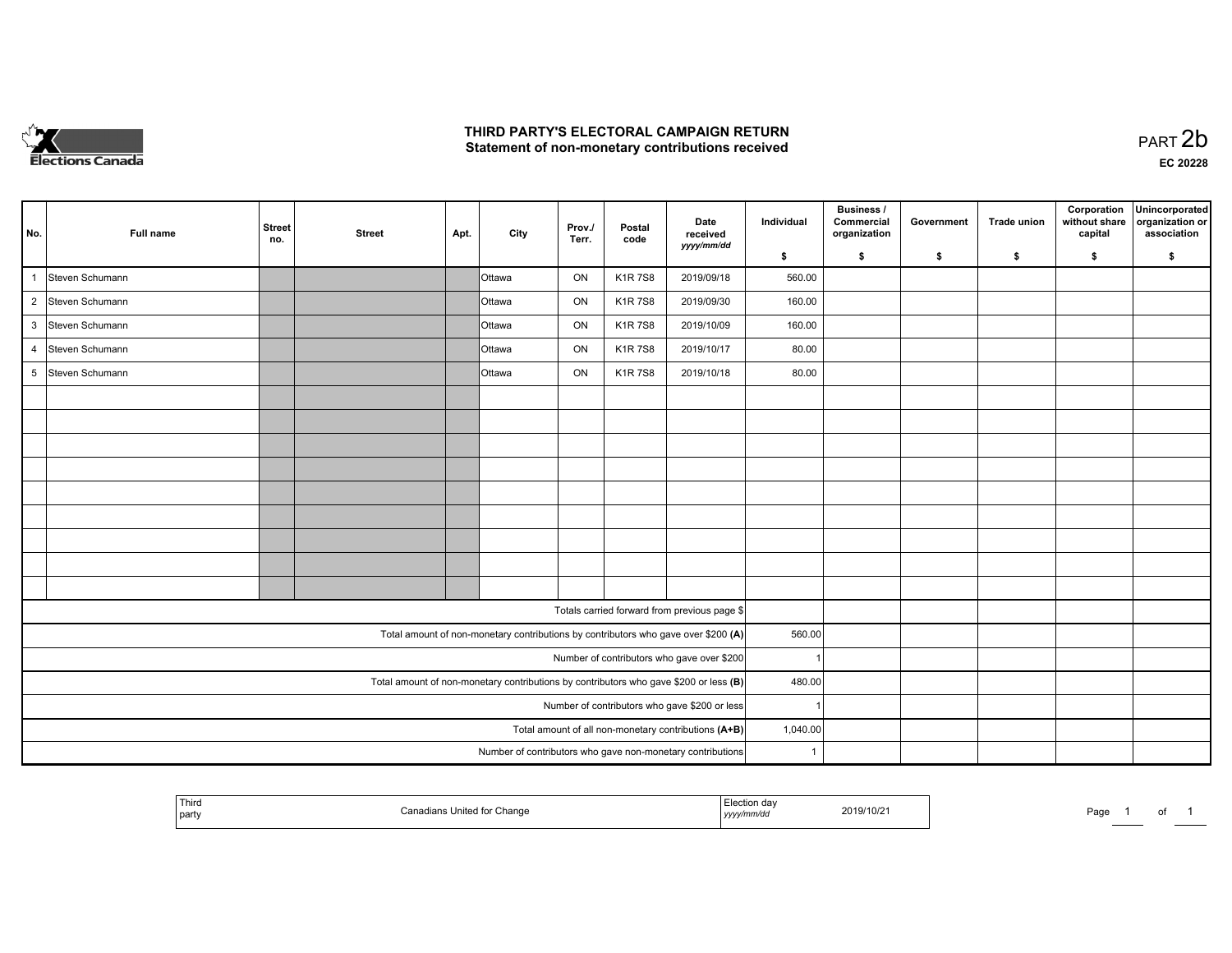

### **THIRD PARTY'S ELECTORAL CAMPAIGN RETURN**  THIRD PARTY'S ELECTORAL CAMPAIGN RETURN<br>Statement of non-monetary contributions received

| No.            | Full name         | <b>Street</b><br>no. | <b>Street</b> | Apt. | City          | Prov./<br>Terr. | Postal<br>code | Date<br>received                                                                      | Individual   | Business /<br>Commercial<br>organization | Government | <b>Trade union</b> | Corporation<br>without share<br>capital | Unincorporated<br>organization or<br>association |
|----------------|-------------------|----------------------|---------------|------|---------------|-----------------|----------------|---------------------------------------------------------------------------------------|--------------|------------------------------------------|------------|--------------------|-----------------------------------------|--------------------------------------------------|
|                |                   |                      |               |      |               |                 |                | yyyy/mm/dd                                                                            | \$           | s.                                       | \$         | S.                 | \$                                      | S.                                               |
| 1              | Steven Schumann   |                      |               |      | <b>Ottawa</b> | ON              | <b>K1R7S8</b>  | 2019/09/18                                                                            | 560.00       |                                          |            |                    |                                         |                                                  |
|                | 2 Steven Schumann |                      |               |      | <b>Ottawa</b> | ON              | <b>K1R7S8</b>  | 2019/09/30                                                                            | 160.00       |                                          |            |                    |                                         |                                                  |
|                | 3 Steven Schumann |                      |               |      | <b>Ottawa</b> | ON              | <b>K1R7S8</b>  | 2019/10/09                                                                            | 160.00       |                                          |            |                    |                                         |                                                  |
| $\overline{4}$ | Steven Schumann   |                      |               |      | <b>Ottawa</b> | ON              | <b>K1R7S8</b>  | 2019/10/17                                                                            | 80.00        |                                          |            |                    |                                         |                                                  |
|                | 5 Steven Schumann |                      |               |      | Ottawa        | ON              | <b>K1R7S8</b>  | 2019/10/18                                                                            | 80.00        |                                          |            |                    |                                         |                                                  |
|                |                   |                      |               |      |               |                 |                |                                                                                       |              |                                          |            |                    |                                         |                                                  |
|                |                   |                      |               |      |               |                 |                |                                                                                       |              |                                          |            |                    |                                         |                                                  |
|                |                   |                      |               |      |               |                 |                |                                                                                       |              |                                          |            |                    |                                         |                                                  |
|                |                   |                      |               |      |               |                 |                |                                                                                       |              |                                          |            |                    |                                         |                                                  |
|                |                   |                      |               |      |               |                 |                |                                                                                       |              |                                          |            |                    |                                         |                                                  |
|                |                   |                      |               |      |               |                 |                |                                                                                       |              |                                          |            |                    |                                         |                                                  |
|                |                   |                      |               |      |               |                 |                |                                                                                       |              |                                          |            |                    |                                         |                                                  |
|                |                   |                      |               |      |               |                 |                |                                                                                       |              |                                          |            |                    |                                         |                                                  |
|                |                   |                      |               |      |               |                 |                |                                                                                       |              |                                          |            |                    |                                         |                                                  |
|                |                   |                      |               |      |               |                 |                | Totals carried forward from previous page \$                                          |              |                                          |            |                    |                                         |                                                  |
|                |                   |                      |               |      |               |                 |                | Total amount of non-monetary contributions by contributors who gave over \$200 (A)    | 560.00       |                                          |            |                    |                                         |                                                  |
|                |                   |                      |               |      |               |                 |                | Number of contributors who gave over \$200                                            |              |                                          |            |                    |                                         |                                                  |
|                |                   |                      |               |      |               |                 |                | Total amount of non-monetary contributions by contributors who gave \$200 or less (B) | 480.00       |                                          |            |                    |                                         |                                                  |
|                |                   |                      |               |      |               |                 |                | Number of contributors who gave \$200 or less                                         |              |                                          |            |                    |                                         |                                                  |
|                |                   |                      |               |      |               |                 |                | Total amount of all non-monetary contributions (A+B)                                  | 1,040.00     |                                          |            |                    |                                         |                                                  |
|                |                   |                      |               |      |               |                 |                | Number of contributors who gave non-monetary contributions                            | $\mathbf{1}$ |                                          |            |                    |                                         |                                                  |

| ' Third<br>  party | ,,,,, | 2019/10/2<br>the contract of the contract of the contract of the contract of the contract of<br>17777 | Pag<br>.<br>- - |
|--------------------|-------|-------------------------------------------------------------------------------------------------------|-----------------|
|--------------------|-------|-------------------------------------------------------------------------------------------------------|-----------------|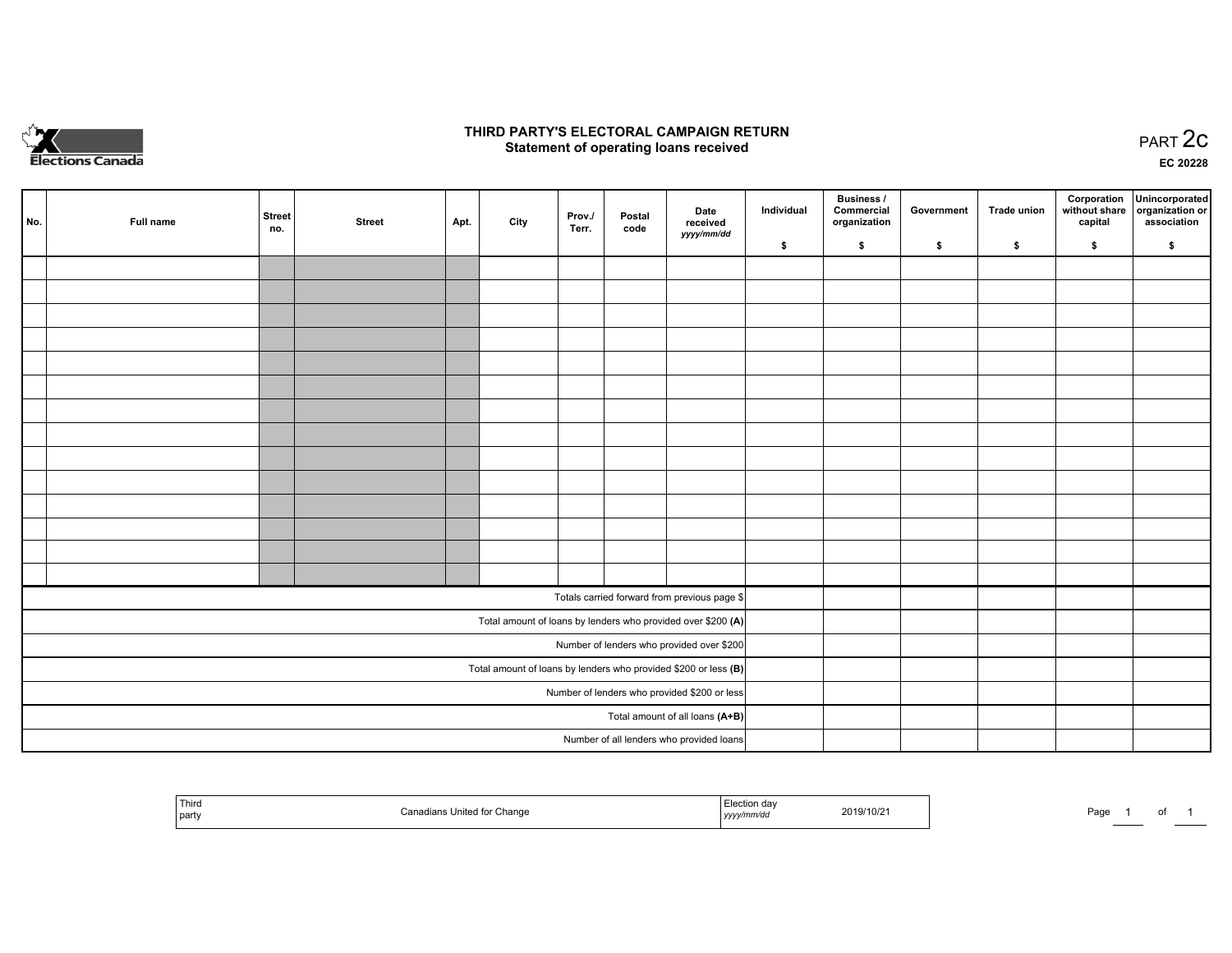

### **THIRD PARTY'S ELECTORAL CAMPAIGN RETURN STATE:** PRACT OF OPPRESS TO PART 2C STATE STATE STATE STATE STATE STATE STATE STATE STATE STATE STATE STATE STA<br>PART 2C Statement of operating loans received

**EC 20228**

|     |           |               |               |      |      |                 |                |                                                                   | Individual | Business /<br>Commercial | Government | Trade union  |         | Corporation Unincorporated                   |
|-----|-----------|---------------|---------------|------|------|-----------------|----------------|-------------------------------------------------------------------|------------|--------------------------|------------|--------------|---------|----------------------------------------------|
| No. | Full name | Street<br>no. | <b>Street</b> | Apt. | City | Prov./<br>Terr. | Postal<br>code | Date<br>received                                                  |            | organization             |            |              | capital | without share organization or<br>association |
|     |           |               |               |      |      |                 |                | yyyy/mm/dd                                                        | \$         | \$                       | \$         | $\mathbf{s}$ | \$      | \$                                           |
|     |           |               |               |      |      |                 |                |                                                                   |            |                          |            |              |         |                                              |
|     |           |               |               |      |      |                 |                |                                                                   |            |                          |            |              |         |                                              |
|     |           |               |               |      |      |                 |                |                                                                   |            |                          |            |              |         |                                              |
|     |           |               |               |      |      |                 |                |                                                                   |            |                          |            |              |         |                                              |
|     |           |               |               |      |      |                 |                |                                                                   |            |                          |            |              |         |                                              |
|     |           |               |               |      |      |                 |                |                                                                   |            |                          |            |              |         |                                              |
|     |           |               |               |      |      |                 |                |                                                                   |            |                          |            |              |         |                                              |
|     |           |               |               |      |      |                 |                |                                                                   |            |                          |            |              |         |                                              |
|     |           |               |               |      |      |                 |                |                                                                   |            |                          |            |              |         |                                              |
|     |           |               |               |      |      |                 |                |                                                                   |            |                          |            |              |         |                                              |
|     |           |               |               |      |      |                 |                |                                                                   |            |                          |            |              |         |                                              |
|     |           |               |               |      |      |                 |                |                                                                   |            |                          |            |              |         |                                              |
|     |           |               |               |      |      |                 |                |                                                                   |            |                          |            |              |         |                                              |
|     |           |               |               |      |      |                 |                |                                                                   |            |                          |            |              |         |                                              |
|     |           |               |               |      |      |                 |                | Totals carried forward from previous page \$                      |            |                          |            |              |         |                                              |
|     |           |               |               |      |      |                 |                | Total amount of loans by lenders who provided over \$200 (A)      |            |                          |            |              |         |                                              |
|     |           |               |               |      |      |                 |                | Number of lenders who provided over \$200                         |            |                          |            |              |         |                                              |
|     |           |               |               |      |      |                 |                | Total amount of loans by lenders who provided \$200 or less $(B)$ |            |                          |            |              |         |                                              |
|     |           |               |               |      |      |                 |                | Number of lenders who provided \$200 or less                      |            |                          |            |              |         |                                              |
|     |           |               |               |      |      |                 |                | Total amount of all loans (A+B)                                   |            |                          |            |              |         |                                              |
|     |           |               |               |      |      |                 |                | Number of all lenders who provided loans                          |            |                          |            |              |         |                                              |

| ' Thira<br>`onor<br>party | i Election dav<br>Change<br>, yyyy/mm/dd | 2019/10/21 | Page |
|---------------------------|------------------------------------------|------------|------|
|---------------------------|------------------------------------------|------------|------|

of 1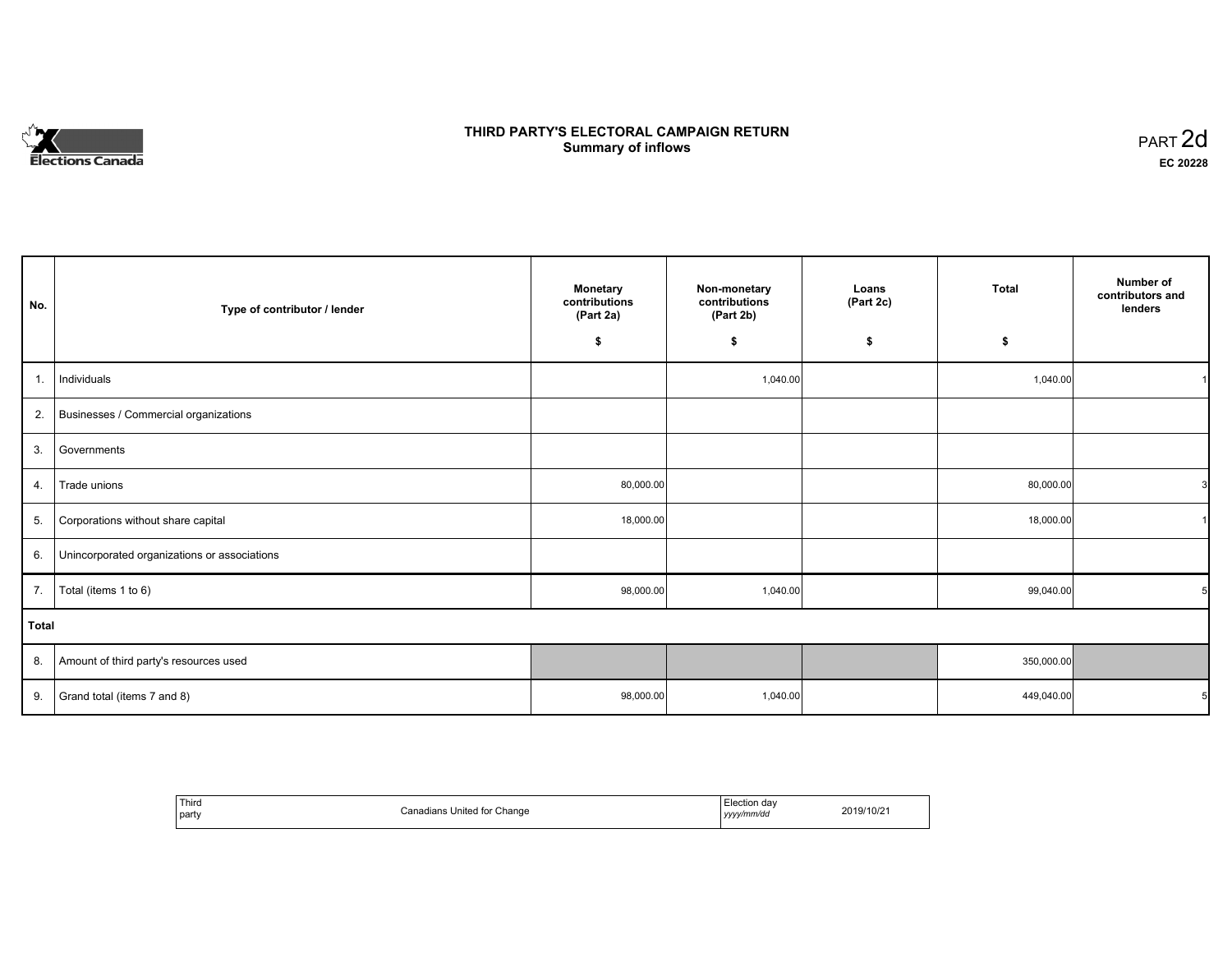# **Elections Canada**

## **THIRD PARTY'S ELECTORAL CAMPAIGN RETURN Summary of inflows**

| PART <sub>2d</sub> |  |
|--------------------|--|
| EC 20228           |  |

| No.          | Type of contributor / lender                 | <b>Monetary</b><br>contributions<br>(Part 2a) | Non-monetary<br>contributions<br>(Part 2b) | Loans<br>(Part 2c) | <b>Total</b> | Number of<br>contributors and<br>lenders |  |  |  |
|--------------|----------------------------------------------|-----------------------------------------------|--------------------------------------------|--------------------|--------------|------------------------------------------|--|--|--|
|              |                                              | \$                                            | \$                                         | \$                 | \$           |                                          |  |  |  |
| 1.           | Individuals                                  |                                               | 1,040.00                                   |                    | 1,040.00     |                                          |  |  |  |
| 2.           | Businesses / Commercial organizations        |                                               |                                            |                    |              |                                          |  |  |  |
| 3.           | Governments                                  |                                               |                                            |                    |              |                                          |  |  |  |
| 4.           | Trade unions                                 | 80,000.00                                     |                                            |                    | 80,000.00    |                                          |  |  |  |
| 5.           | Corporations without share capital           | 18,000.00                                     |                                            |                    | 18,000.00    |                                          |  |  |  |
| 6.           | Unincorporated organizations or associations |                                               |                                            |                    |              |                                          |  |  |  |
| 7.           | Total (items 1 to 6)                         | 98,000.00                                     | 1,040.00                                   |                    | 99,040.00    |                                          |  |  |  |
| <b>Total</b> |                                              |                                               |                                            |                    |              |                                          |  |  |  |
| 8.           | Amount of third party's resources used       |                                               |                                            |                    | 350,000.00   |                                          |  |  |  |
| 9.           | Grand total (items 7 and 8)                  | 98,000.00                                     | 1,040.00                                   |                    | 449,040.00   |                                          |  |  |  |

| Third<br>party | Canadians United for Change | Election dav<br>yyyy/mm/dd | 2019/10/21 |
|----------------|-----------------------------|----------------------------|------------|
|----------------|-----------------------------|----------------------------|------------|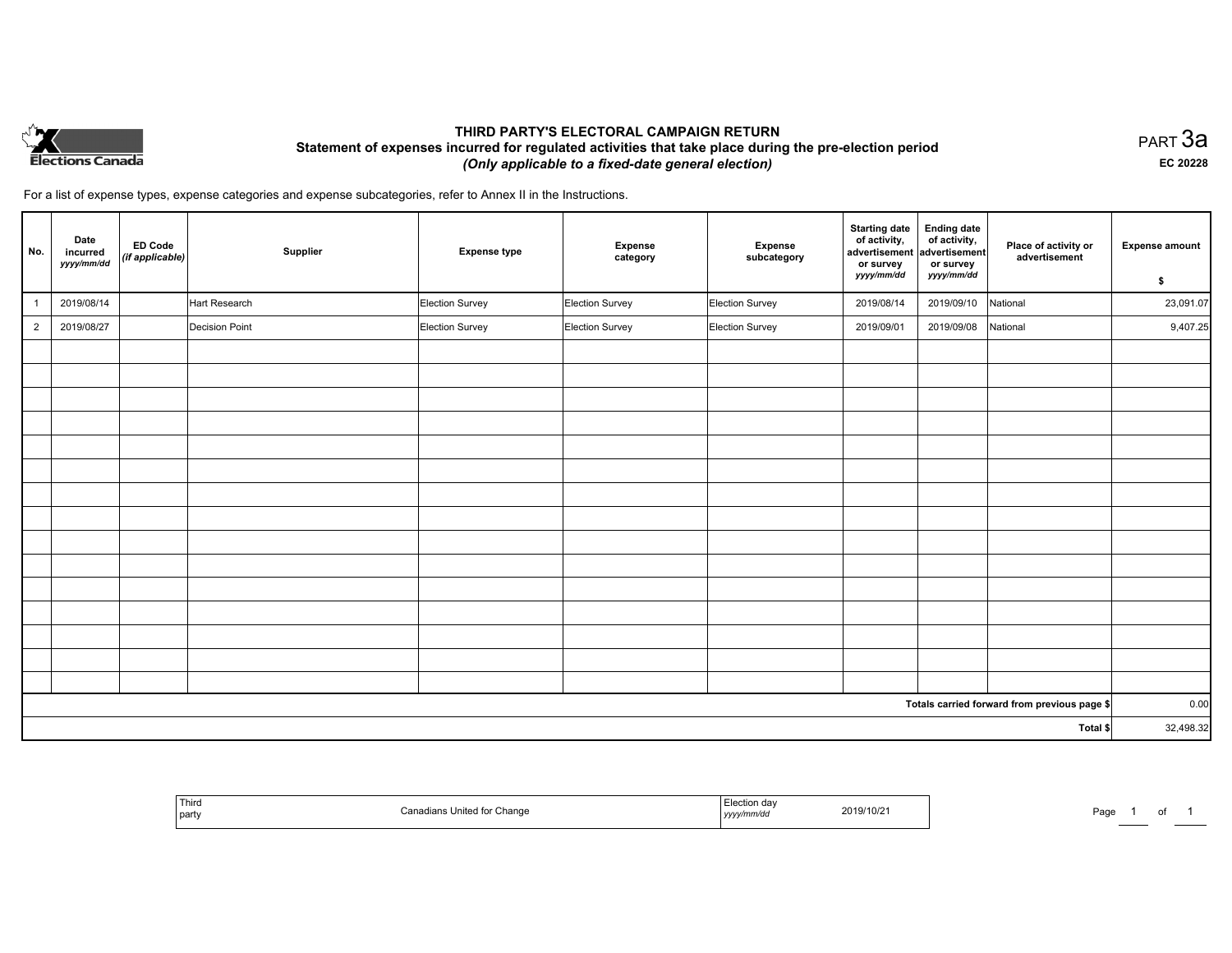

## **THIRD PARTY'S ELECTORAL CAMPAIGN RETURN Statement of expenses incurred for regulated activities that take place during the pre-election period**  *(Only applicable to a fixed-date general election)*

PART 3a **EC 20228**

For a list of expense types, expense categories and expense subcategories, refer to Annex II in the Instructions.

| No.            | Date<br>incurred<br>yyyy/mm/dd | ED Code<br>(if applicable) | Supplier       | <b>Expense type</b> | Expense<br>category | Expense<br>subcategory | <b>Starting date</b><br>of activity,<br>advertisement<br>or survey<br>yyyy/mm/dd | <b>Ending date</b><br>of activity,<br>advertisement<br>or survey<br>yyyy/mm/dd | Place of activity or<br>advertisement        | <b>Expense amount</b><br>\$ |
|----------------|--------------------------------|----------------------------|----------------|---------------------|---------------------|------------------------|----------------------------------------------------------------------------------|--------------------------------------------------------------------------------|----------------------------------------------|-----------------------------|
|                | 2019/08/14                     |                            | Hart Research  | Election Survey     | Election Survey     | Election Survey        | 2019/08/14                                                                       | 2019/09/10                                                                     | National                                     | 23,091.07                   |
| $\overline{2}$ | 2019/08/27                     |                            | Decision Point | Election Survey     | Election Survey     | Election Survey        | 2019/09/01                                                                       | 2019/09/08                                                                     | National                                     | 9,407.25                    |
|                |                                |                            |                |                     |                     |                        |                                                                                  |                                                                                |                                              |                             |
|                |                                |                            |                |                     |                     |                        |                                                                                  |                                                                                |                                              |                             |
|                |                                |                            |                |                     |                     |                        |                                                                                  |                                                                                |                                              |                             |
|                |                                |                            |                |                     |                     |                        |                                                                                  |                                                                                |                                              |                             |
|                |                                |                            |                |                     |                     |                        |                                                                                  |                                                                                |                                              |                             |
|                |                                |                            |                |                     |                     |                        |                                                                                  |                                                                                |                                              |                             |
|                |                                |                            |                |                     |                     |                        |                                                                                  |                                                                                |                                              |                             |
|                |                                |                            |                |                     |                     |                        |                                                                                  |                                                                                |                                              |                             |
|                |                                |                            |                |                     |                     |                        |                                                                                  |                                                                                |                                              |                             |
|                |                                |                            |                |                     |                     |                        |                                                                                  |                                                                                |                                              |                             |
|                |                                |                            |                |                     |                     |                        |                                                                                  |                                                                                |                                              |                             |
|                |                                |                            |                |                     |                     |                        |                                                                                  |                                                                                |                                              |                             |
|                |                                |                            |                |                     |                     |                        |                                                                                  |                                                                                |                                              |                             |
|                |                                |                            |                |                     |                     |                        |                                                                                  |                                                                                |                                              |                             |
|                |                                |                            |                |                     |                     |                        |                                                                                  |                                                                                |                                              |                             |
|                |                                |                            |                |                     |                     |                        |                                                                                  |                                                                                | Totals carried forward from previous page \$ | 0.00                        |
|                |                                |                            |                |                     |                     |                        |                                                                                  |                                                                                | Total \$                                     | 32,498.32                   |

|  | Third<br>  party | Chang | on dav<br>,,,,, | 2019/10/2<br>the contract of the contract of the contract of the contract of the contract of | Pag. |  |  |
|--|------------------|-------|-----------------|----------------------------------------------------------------------------------------------|------|--|--|
|--|------------------|-------|-----------------|----------------------------------------------------------------------------------------------|------|--|--|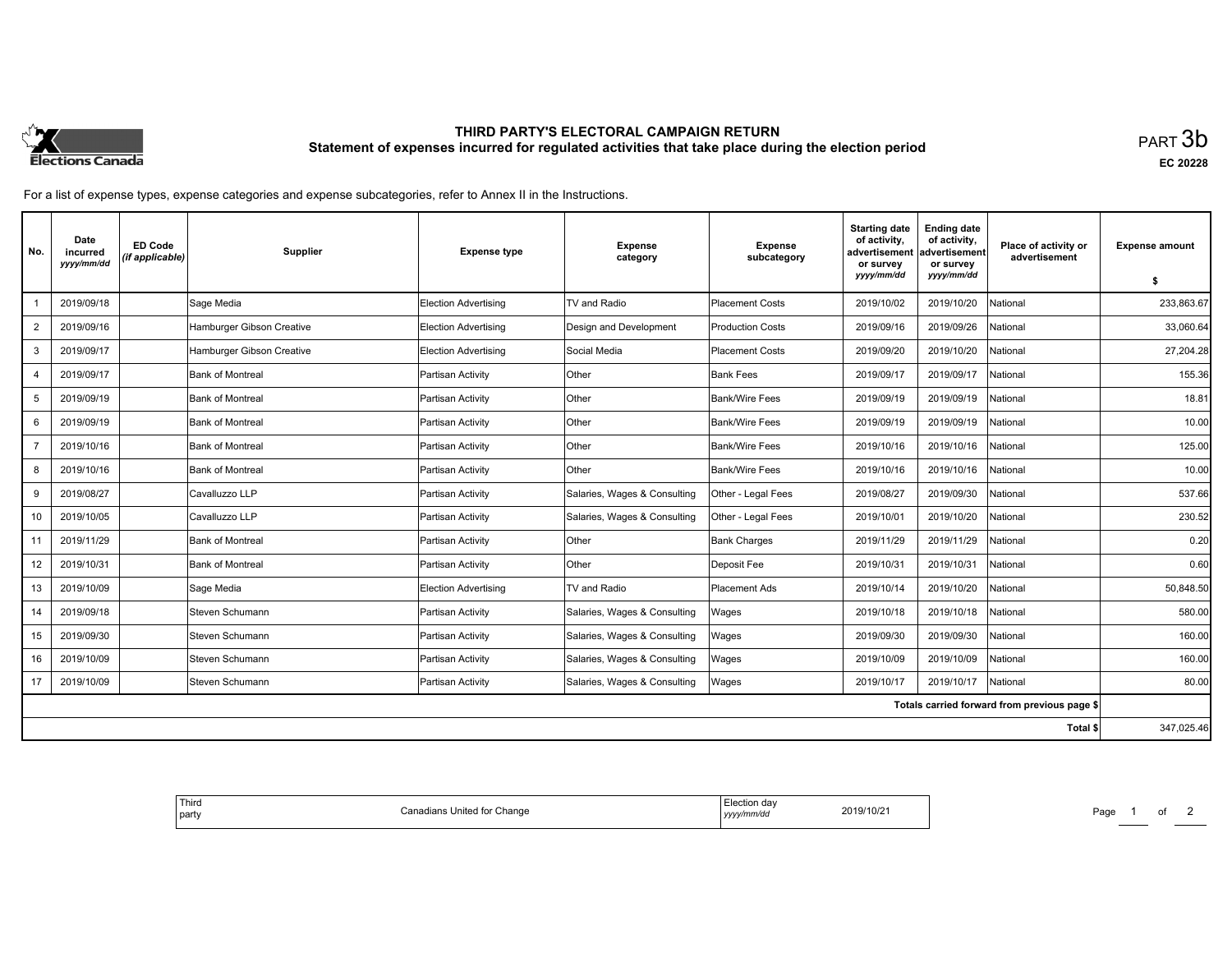

# **THIRD PARTY'S ELECTORAL CAMPAIGN RETURN Statement of expenses incurred for regulated activities that take place during the election period**<br>PART  $3\mathsf{b}$

**EC 20228**

For a list of expense types, expense categories and expense subcategories, refer to Annex II in the Instructions.

| No.            | Date<br>incurred<br>yyyy/mm/dd | ED Code<br>(if applicable) | Supplier                  | <b>Expense type</b>         | <b>Expense</b><br>category   | <b>Expense</b><br>subcategory | <b>Starting date</b><br>of activity,<br>advertisement<br>or survey | <b>Ending date</b><br>of activity,<br>advertisement<br>or survey | Place of activity or<br>advertisement        | <b>Expense amount</b> |
|----------------|--------------------------------|----------------------------|---------------------------|-----------------------------|------------------------------|-------------------------------|--------------------------------------------------------------------|------------------------------------------------------------------|----------------------------------------------|-----------------------|
|                |                                |                            |                           |                             |                              |                               | yyyy/mm/dd                                                         | yyyy/mm/dd                                                       |                                              | \$                    |
|                | 2019/09/18                     |                            | Sage Media                | <b>Election Advertising</b> | TV and Radio                 | <b>Placement Costs</b>        | 2019/10/02                                                         | 2019/10/20                                                       | National                                     | 233,863.67            |
| $\overline{2}$ | 2019/09/16                     |                            | Hamburger Gibson Creative | Election Advertising        | Design and Development       | <b>Production Costs</b>       | 2019/09/16                                                         | 2019/09/26                                                       | National                                     | 33,060.64             |
| 3              | 2019/09/17                     |                            | Hamburger Gibson Creative | Election Advertising        | Social Media                 | <b>Placement Costs</b>        | 2019/09/20                                                         | 2019/10/20                                                       | National                                     | 27.204.28             |
| $\overline{4}$ | 2019/09/17                     |                            | Bank of Montreal          | Partisan Activity           | Other                        | Bank Fees                     | 2019/09/17                                                         | 2019/09/17                                                       | National                                     | 155.36                |
| 5              | 2019/09/19                     |                            | Bank of Montreal          | Partisan Activity           | Other                        | Bank/Wire Fees                | 2019/09/19                                                         | 2019/09/19                                                       | National                                     | 18.81                 |
| 6              | 2019/09/19                     |                            | <b>Bank of Montreal</b>   | Partisan Activity           | Other                        | Bank/Wire Fees                | 2019/09/19                                                         | 2019/09/19                                                       | National                                     | 10.00                 |
|                | 2019/10/16                     |                            | Bank of Montreal          | Partisan Activity           | Other                        | Bank/Wire Fees                | 2019/10/16                                                         | 2019/10/16                                                       | National                                     | 125.00                |
| 8              | 2019/10/16                     |                            | <b>Bank of Montreal</b>   | Partisan Activity           | Other                        | <b>Bank/Wire Fees</b>         | 2019/10/16                                                         | 2019/10/16                                                       | National                                     | 10.00                 |
| 9              | 2019/08/27                     |                            | Cavalluzzo LLP            | Partisan Activity           | Salaries, Wages & Consulting | Other - Legal Fees            | 2019/08/27                                                         | 2019/09/30                                                       | National                                     | 537.66                |
| 10             | 2019/10/05                     |                            | Cavalluzzo LLP            | Partisan Activity           | Salaries, Wages & Consulting | Other - Legal Fees            | 2019/10/01                                                         | 2019/10/20                                                       | National                                     | 230.52                |
| 11             | 2019/11/29                     |                            | <b>Bank of Montreal</b>   | Partisan Activity           | Other                        | <b>Bank Charges</b>           | 2019/11/29                                                         | 2019/11/29                                                       | National                                     | 0.20                  |
| 12             | 2019/10/31                     |                            | Bank of Montreal          | Partisan Activity           | <b>Other</b>                 | Deposit Fee                   | 2019/10/31                                                         | 2019/10/31                                                       | National                                     | 0.60                  |
| 13             | 2019/10/09                     |                            | Sage Media                | <b>Election Advertising</b> | TV and Radio                 | <b>Placement Ads</b>          | 2019/10/14                                                         | 2019/10/20                                                       | National                                     | 50,848.50             |
| 14             | 2019/09/18                     |                            | Steven Schumann           | Partisan Activity           | Salaries, Wages & Consulting | Wages                         | 2019/10/18                                                         | 2019/10/18                                                       | National                                     | 580.00                |
| 15             | 2019/09/30                     |                            | Steven Schumann           | Partisan Activity           | Salaries, Wages & Consulting | Wages                         | 2019/09/30                                                         | 2019/09/30                                                       | National                                     | 160.00                |
| 16             | 2019/10/09                     |                            | Steven Schumann           | Partisan Activity           | Salaries, Wages & Consulting | Wages                         | 2019/10/09                                                         | 2019/10/09                                                       | National                                     | 160.00                |
| 17             | 2019/10/09                     |                            | Steven Schumann           | Partisan Activity           | Salaries, Wages & Consulting | Wages                         | 2019/10/17                                                         | 2019/10/17                                                       | National                                     | 80.00                 |
|                |                                |                            |                           |                             |                              |                               |                                                                    |                                                                  | Totals carried forward from previous page \$ |                       |
|                |                                |                            |                           |                             |                              |                               |                                                                    |                                                                  | Total \$                                     | 347,025.46            |

| Election dav<br>2019/10/21<br>Change<br>Canadians<br>United<br>тог<br>vy/mm/dd<br>,,,,,, | Third<br>party |  |
|------------------------------------------------------------------------------------------|----------------|--|
|------------------------------------------------------------------------------------------|----------------|--|

Page 1 of 2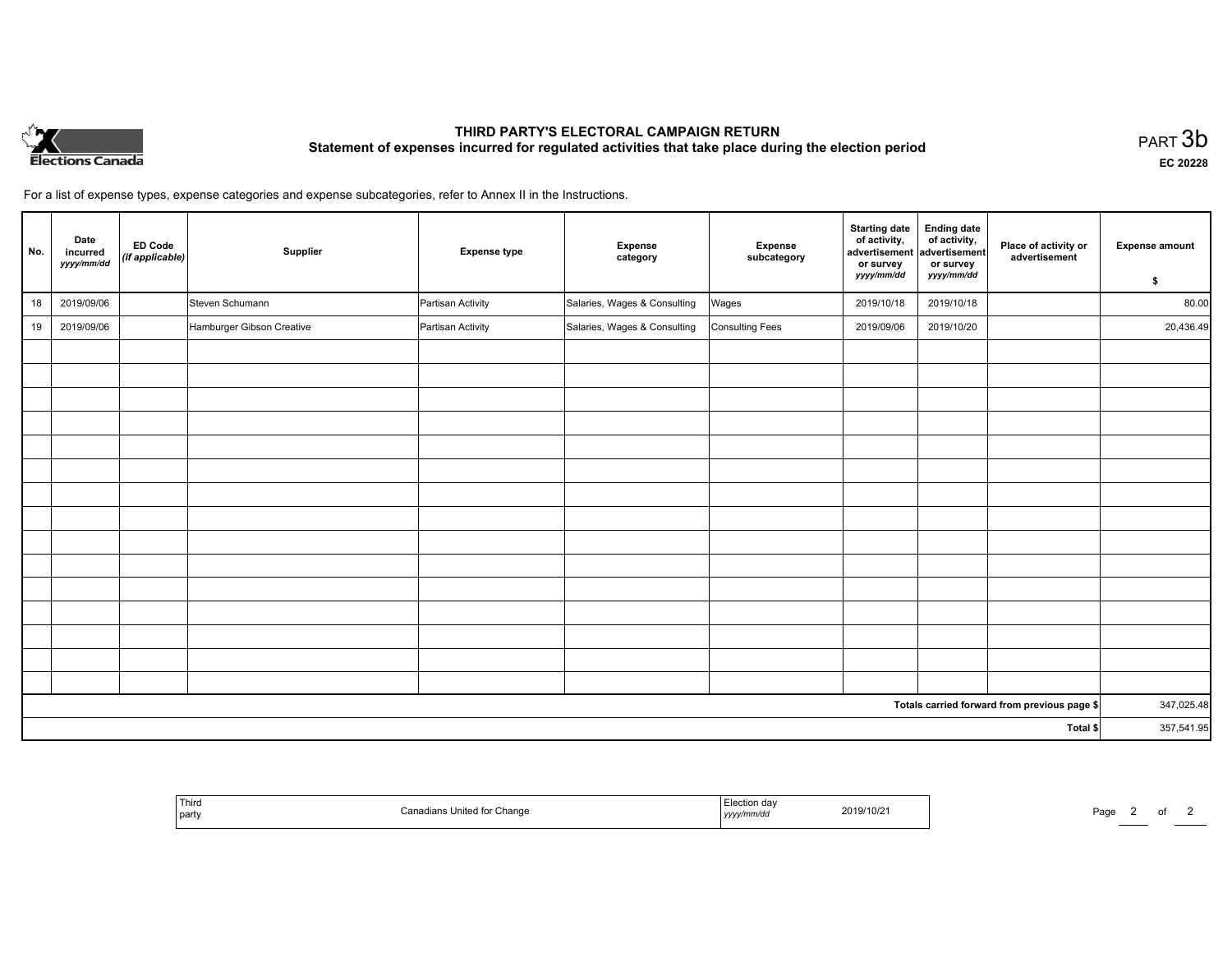

# **THIRD PARTY'S ELECTORAL CAMPAIGN RETURN Statement of expenses incurred for regulated activities that take place during the election period**<br>PART  $3\mathsf{b}$

**EC 20228**

of  $2$ 

For a list of expense types, expense categories and expense subcategories, refer to Annex II in the Instructions.

| No. | Date<br>incurred<br>yyyy/mm/dd | <b>ED Code</b><br>(if applicable) | Supplier                  | <b>Expense type</b> | <b>Expense</b><br>category   | Expense<br>subcategory | <b>Starting date</b><br>of activity,<br>advertisement<br>or survey<br>yyyy/mm/dd | <b>Ending date</b><br>of activity,<br>advertisement<br>or survey<br>yyyy/mm/dd | Place of activity or<br>advertisement        | <b>Expense amount</b> |
|-----|--------------------------------|-----------------------------------|---------------------------|---------------------|------------------------------|------------------------|----------------------------------------------------------------------------------|--------------------------------------------------------------------------------|----------------------------------------------|-----------------------|
|     |                                |                                   |                           |                     |                              |                        |                                                                                  |                                                                                |                                              | \$                    |
| 18  | 2019/09/06                     |                                   | Steven Schumann           | Partisan Activity   | Salaries, Wages & Consulting | Wages                  | 2019/10/18                                                                       | 2019/10/18                                                                     |                                              | 80.00                 |
| 19  | 2019/09/06                     |                                   | Hamburger Gibson Creative | Partisan Activity   | Salaries, Wages & Consulting | Consulting Fees        | 2019/09/06                                                                       | 2019/10/20                                                                     |                                              | 20,436.49             |
|     |                                |                                   |                           |                     |                              |                        |                                                                                  |                                                                                |                                              |                       |
|     |                                |                                   |                           |                     |                              |                        |                                                                                  |                                                                                |                                              |                       |
|     |                                |                                   |                           |                     |                              |                        |                                                                                  |                                                                                |                                              |                       |
|     |                                |                                   |                           |                     |                              |                        |                                                                                  |                                                                                |                                              |                       |
|     |                                |                                   |                           |                     |                              |                        |                                                                                  |                                                                                |                                              |                       |
|     |                                |                                   |                           |                     |                              |                        |                                                                                  |                                                                                |                                              |                       |
|     |                                |                                   |                           |                     |                              |                        |                                                                                  |                                                                                |                                              |                       |
|     |                                |                                   |                           |                     |                              |                        |                                                                                  |                                                                                |                                              |                       |
|     |                                |                                   |                           |                     |                              |                        |                                                                                  |                                                                                |                                              |                       |
|     |                                |                                   |                           |                     |                              |                        |                                                                                  |                                                                                |                                              |                       |
|     |                                |                                   |                           |                     |                              |                        |                                                                                  |                                                                                |                                              |                       |
|     |                                |                                   |                           |                     |                              |                        |                                                                                  |                                                                                |                                              |                       |
|     |                                |                                   |                           |                     |                              |                        |                                                                                  |                                                                                |                                              |                       |
|     |                                |                                   |                           |                     |                              |                        |                                                                                  |                                                                                |                                              |                       |
|     |                                |                                   |                           |                     |                              |                        |                                                                                  |                                                                                |                                              |                       |
|     |                                |                                   |                           |                     |                              |                        |                                                                                  |                                                                                | Totals carried forward from previous page \$ | 347,025.48            |
|     |                                |                                   |                           |                     |                              |                        |                                                                                  |                                                                                | Total \$                                     | 357,541.95            |

|  | Third<br>  party | r Change<br>$\overline{a}$<br> | ction dav<br>2019/10/21<br>mm/dd<br><b>yy,</b> | Page<br><u> The Communication of the Communication of</u> |
|--|------------------|--------------------------------|------------------------------------------------|-----------------------------------------------------------|
|--|------------------|--------------------------------|------------------------------------------------|-----------------------------------------------------------|